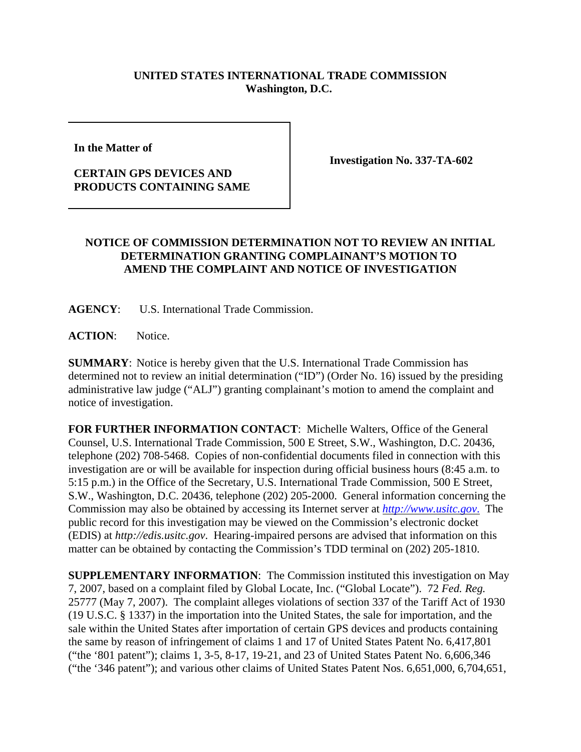## **UNITED STATES INTERNATIONAL TRADE COMMISSION Washington, D.C.**

**In the Matter of** 

## **CERTAIN GPS DEVICES AND PRODUCTS CONTAINING SAME**

**Investigation No. 337-TA-602**

## **NOTICE OF COMMISSION DETERMINATION NOT TO REVIEW AN INITIAL DETERMINATION GRANTING COMPLAINANT'S MOTION TO AMEND THE COMPLAINT AND NOTICE OF INVESTIGATION**

**AGENCY**: U.S. International Trade Commission.

**ACTION**: Notice.

**SUMMARY**: Notice is hereby given that the U.S. International Trade Commission has determined not to review an initial determination ("ID") (Order No. 16) issued by the presiding administrative law judge ("ALJ") granting complainant's motion to amend the complaint and notice of investigation.

**FOR FURTHER INFORMATION CONTACT**: Michelle Walters, Office of the General Counsel, U.S. International Trade Commission, 500 E Street, S.W., Washington, D.C. 20436, telephone (202) 708-5468. Copies of non-confidential documents filed in connection with this investigation are or will be available for inspection during official business hours (8:45 a.m. to 5:15 p.m.) in the Office of the Secretary, U.S. International Trade Commission, 500 E Street, S.W., Washington, D.C. 20436, telephone (202) 205-2000. General information concerning the Commission may also be obtained by accessing its Internet server at *http://www.usitc.gov*. The public record for this investigation may be viewed on the Commission's electronic docket (EDIS) at *http://edis.usitc.gov*. Hearing-impaired persons are advised that information on this matter can be obtained by contacting the Commission's TDD terminal on (202) 205-1810.

**SUPPLEMENTARY INFORMATION:** The Commission instituted this investigation on May 7, 2007, based on a complaint filed by Global Locate, Inc. ("Global Locate"). 72 *Fed. Reg.* 25777 (May 7, 2007). The complaint alleges violations of section 337 of the Tariff Act of 1930 (19 U.S.C. § 1337) in the importation into the United States, the sale for importation, and the sale within the United States after importation of certain GPS devices and products containing the same by reason of infringement of claims 1 and 17 of United States Patent No. 6,417,801 ("the '801 patent"); claims 1, 3-5, 8-17, 19-21, and 23 of United States Patent No. 6,606,346 ("the '346 patent"); and various other claims of United States Patent Nos. 6,651,000, 6,704,651,